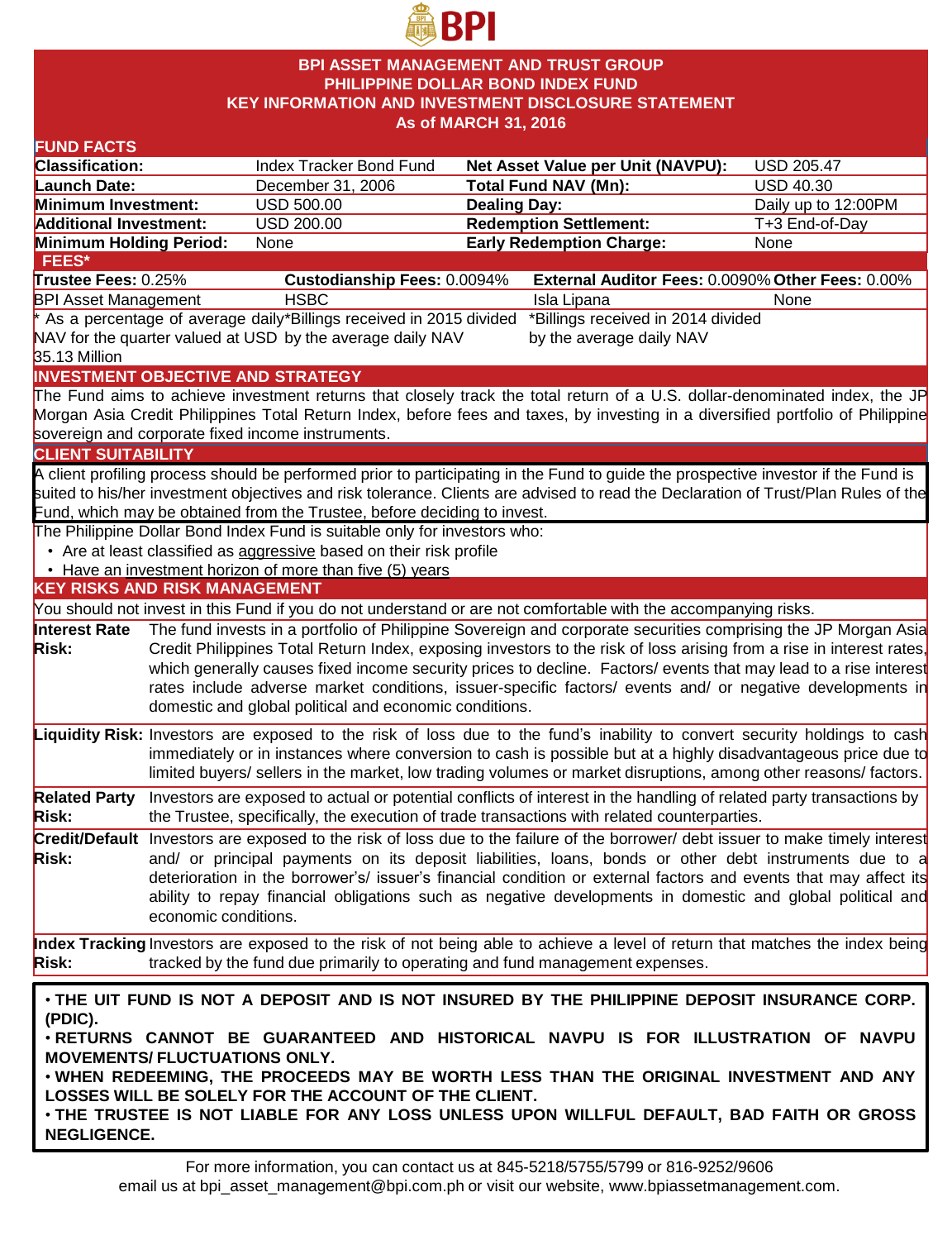

#### **BPI ASSET MANAGEMENT AND TRUST GROUP PHILIPPINE DOLLAR BOND INDEX FUND KEY INFORMATION AND INVESTMENT DISCLOSURE STATEMENT As of MARCH 31, 2016**

| <b>FUND FACTS</b>                                                                                        |                                                                                                           |                                                                                                                                                                                                                                          |                     |                                                                                                                                                                                                                               |                     |  |  |
|----------------------------------------------------------------------------------------------------------|-----------------------------------------------------------------------------------------------------------|------------------------------------------------------------------------------------------------------------------------------------------------------------------------------------------------------------------------------------------|---------------------|-------------------------------------------------------------------------------------------------------------------------------------------------------------------------------------------------------------------------------|---------------------|--|--|
| Classification:                                                                                          |                                                                                                           | Index Tracker Bond Fund                                                                                                                                                                                                                  |                     | Net Asset Value per Unit (NAVPU):                                                                                                                                                                                             | <b>USD 205.47</b>   |  |  |
| Launch Date:                                                                                             |                                                                                                           | December 31, 2006                                                                                                                                                                                                                        |                     | <b>Total Fund NAV (Mn):</b>                                                                                                                                                                                                   | <b>USD 40.30</b>    |  |  |
| Minimum Investment:                                                                                      |                                                                                                           | <b>USD 500.00</b>                                                                                                                                                                                                                        | <b>Dealing Day:</b> |                                                                                                                                                                                                                               | Daily up to 12:00PM |  |  |
| <b>Additional Investment:</b>                                                                            |                                                                                                           | <b>USD 200.00</b>                                                                                                                                                                                                                        |                     | <b>Redemption Settlement:</b>                                                                                                                                                                                                 | T+3 End-of-Day      |  |  |
| Minimum Holding Period:                                                                                  |                                                                                                           | None                                                                                                                                                                                                                                     |                     | <b>Early Redemption Charge:</b>                                                                                                                                                                                               | None                |  |  |
| FEES*                                                                                                    |                                                                                                           |                                                                                                                                                                                                                                          |                     |                                                                                                                                                                                                                               |                     |  |  |
| Trustee Fees: 0.25%                                                                                      |                                                                                                           | Custodianship Fees: 0.0094%                                                                                                                                                                                                              |                     | External Auditor Fees: 0.0090% Other Fees: 0.00%                                                                                                                                                                              |                     |  |  |
| <b>BPI Asset Management</b>                                                                              |                                                                                                           | <b>HSBC</b>                                                                                                                                                                                                                              |                     | Isla Lipana                                                                                                                                                                                                                   | None                |  |  |
| As a percentage of average daily*Billings received in 2015 divided<br>*Billings received in 2014 divided |                                                                                                           |                                                                                                                                                                                                                                          |                     |                                                                                                                                                                                                                               |                     |  |  |
|                                                                                                          |                                                                                                           | NAV for the quarter valued at USD by the average daily NAV                                                                                                                                                                               |                     | by the average daily NAV                                                                                                                                                                                                      |                     |  |  |
| 35.13 Million                                                                                            |                                                                                                           |                                                                                                                                                                                                                                          |                     |                                                                                                                                                                                                                               |                     |  |  |
|                                                                                                          |                                                                                                           | <b>INVESTMENT OBJECTIVE AND STRATEGY</b>                                                                                                                                                                                                 |                     |                                                                                                                                                                                                                               |                     |  |  |
|                                                                                                          |                                                                                                           |                                                                                                                                                                                                                                          |                     | The Fund aims to achieve investment returns that closely track the total return of a U.S. dollar-denominated index, the JP                                                                                                    |                     |  |  |
|                                                                                                          |                                                                                                           |                                                                                                                                                                                                                                          |                     | Morgan Asia Credit Philippines Total Return Index, before fees and taxes, by investing in a diversified portfolio of Philippine                                                                                               |                     |  |  |
|                                                                                                          |                                                                                                           | sovereign and corporate fixed income instruments.                                                                                                                                                                                        |                     |                                                                                                                                                                                                                               |                     |  |  |
| <b>CLIENT SUITABILITY</b>                                                                                |                                                                                                           |                                                                                                                                                                                                                                          |                     |                                                                                                                                                                                                                               |                     |  |  |
|                                                                                                          |                                                                                                           |                                                                                                                                                                                                                                          |                     | A client profiling process should be performed prior to participating in the Fund to guide the prospective investor if the Fund is                                                                                            |                     |  |  |
|                                                                                                          |                                                                                                           | Fund, which may be obtained from the Trustee, before deciding to invest.                                                                                                                                                                 |                     | suited to his/her investment objectives and risk tolerance. Clients are advised to read the Declaration of Trust/Plan Rules of the                                                                                            |                     |  |  |
|                                                                                                          |                                                                                                           | The Philippine Dollar Bond Index Fund is suitable only for investors who:                                                                                                                                                                |                     |                                                                                                                                                                                                                               |                     |  |  |
|                                                                                                          |                                                                                                           | • Are at least classified as aggressive based on their risk profile                                                                                                                                                                      |                     |                                                                                                                                                                                                                               |                     |  |  |
|                                                                                                          |                                                                                                           | • Have an investment horizon of more than five (5) years                                                                                                                                                                                 |                     |                                                                                                                                                                                                                               |                     |  |  |
| <b>KEY RISKS AND RISK MANAGEMENT</b>                                                                     |                                                                                                           |                                                                                                                                                                                                                                          |                     |                                                                                                                                                                                                                               |                     |  |  |
|                                                                                                          |                                                                                                           |                                                                                                                                                                                                                                          |                     | You should not invest in this Fund if you do not understand or are not comfortable with the accompanying risks.                                                                                                               |                     |  |  |
| Interest Rate                                                                                            |                                                                                                           |                                                                                                                                                                                                                                          |                     | The fund invests in a portfolio of Philippine Sovereign and corporate securities comprising the JP Morgan Asia                                                                                                                |                     |  |  |
| <b>Risk:</b>                                                                                             |                                                                                                           |                                                                                                                                                                                                                                          |                     |                                                                                                                                                                                                                               |                     |  |  |
|                                                                                                          |                                                                                                           | Credit Philippines Total Return Index, exposing investors to the risk of loss arising from a rise in interest rates,<br>which generally causes fixed income security prices to decline. Factors/ events that may lead to a rise interest |                     |                                                                                                                                                                                                                               |                     |  |  |
|                                                                                                          | rates include adverse market conditions, issuer-specific factors/ events and/ or negative developments in |                                                                                                                                                                                                                                          |                     |                                                                                                                                                                                                                               |                     |  |  |
|                                                                                                          |                                                                                                           | domestic and global political and economic conditions.                                                                                                                                                                                   |                     |                                                                                                                                                                                                                               |                     |  |  |
|                                                                                                          |                                                                                                           |                                                                                                                                                                                                                                          |                     | Liquidity Risk: Investors are exposed to the risk of loss due to the fund's inability to convert security holdings to cash                                                                                                    |                     |  |  |
|                                                                                                          |                                                                                                           |                                                                                                                                                                                                                                          |                     | immediately or in instances where conversion to cash is possible but at a highly disadvantageous price due to                                                                                                                 |                     |  |  |
|                                                                                                          |                                                                                                           |                                                                                                                                                                                                                                          |                     | limited buyers/ sellers in the market, low trading volumes or market disruptions, among other reasons/ factors.                                                                                                               |                     |  |  |
|                                                                                                          |                                                                                                           |                                                                                                                                                                                                                                          |                     |                                                                                                                                                                                                                               |                     |  |  |
| <b>Related Party</b>                                                                                     |                                                                                                           |                                                                                                                                                                                                                                          |                     | Investors are exposed to actual or potential conflicts of interest in the handling of related party transactions by                                                                                                           |                     |  |  |
| <b>Risk:</b>                                                                                             |                                                                                                           |                                                                                                                                                                                                                                          |                     | the Trustee, specifically, the execution of trade transactions with related counterparties.                                                                                                                                   |                     |  |  |
|                                                                                                          |                                                                                                           |                                                                                                                                                                                                                                          |                     | Credit/Default Investors are exposed to the risk of loss due to the failure of the borrower/ debt issuer to make timely interest                                                                                              |                     |  |  |
| <b>Risk:</b>                                                                                             |                                                                                                           |                                                                                                                                                                                                                                          |                     | and/ or principal payments on its deposit liabilities, loans, bonds or other debt instruments due to a                                                                                                                        |                     |  |  |
|                                                                                                          |                                                                                                           |                                                                                                                                                                                                                                          |                     | deterioration in the borrower's/ issuer's financial condition or external factors and events that may affect its<br>ability to repay financial obligations such as negative developments in domestic and global political and |                     |  |  |
|                                                                                                          | economic conditions.                                                                                      |                                                                                                                                                                                                                                          |                     |                                                                                                                                                                                                                               |                     |  |  |
|                                                                                                          |                                                                                                           |                                                                                                                                                                                                                                          |                     |                                                                                                                                                                                                                               |                     |  |  |
|                                                                                                          |                                                                                                           |                                                                                                                                                                                                                                          |                     | Index Tracking Investors are exposed to the risk of not being able to achieve a level of return that matches the index being                                                                                                  |                     |  |  |
| <b>Risk:</b>                                                                                             |                                                                                                           | tracked by the fund due primarily to operating and fund management expenses.                                                                                                                                                             |                     |                                                                                                                                                                                                                               |                     |  |  |
|                                                                                                          |                                                                                                           |                                                                                                                                                                                                                                          |                     |                                                                                                                                                                                                                               |                     |  |  |
| . THE UIT FUND IS NOT A DEPOSIT AND IS NOT INSURED BY THE PHILIPPINE DEPOSIT INSURANCE CORP.<br>(PDIC).  |                                                                                                           |                                                                                                                                                                                                                                          |                     |                                                                                                                                                                                                                               |                     |  |  |
| . RETURNS CANNOT BE GUARANTEED AND HISTORICAL NAVPU IS FOR ILLUSTRATION OF NAVPU                         |                                                                                                           |                                                                                                                                                                                                                                          |                     |                                                                                                                                                                                                                               |                     |  |  |
| <b>MOVEMENTS/ FLUCTUATIONS ONLY.</b>                                                                     |                                                                                                           |                                                                                                                                                                                                                                          |                     |                                                                                                                                                                                                                               |                     |  |  |
| . WHEN REDEEMING, THE PROCEEDS MAY BE WORTH LESS THAN THE ORIGINAL INVESTMENT AND ANY                    |                                                                                                           |                                                                                                                                                                                                                                          |                     |                                                                                                                                                                                                                               |                     |  |  |
| LOSSES WILL BE SOLELY FOR THE ACCOUNT OF THE CLIENT.                                                     |                                                                                                           |                                                                                                                                                                                                                                          |                     |                                                                                                                                                                                                                               |                     |  |  |
|                                                                                                          | . THE TRUSTEE IS NOT LIABLE FOR ANY LOSS UNLESS UPON WILLFUL DEFAULT, BAD FAITH OR GROSS                  |                                                                                                                                                                                                                                          |                     |                                                                                                                                                                                                                               |                     |  |  |
| <b>NEGLIGENCE.</b>                                                                                       |                                                                                                           |                                                                                                                                                                                                                                          |                     |                                                                                                                                                                                                                               |                     |  |  |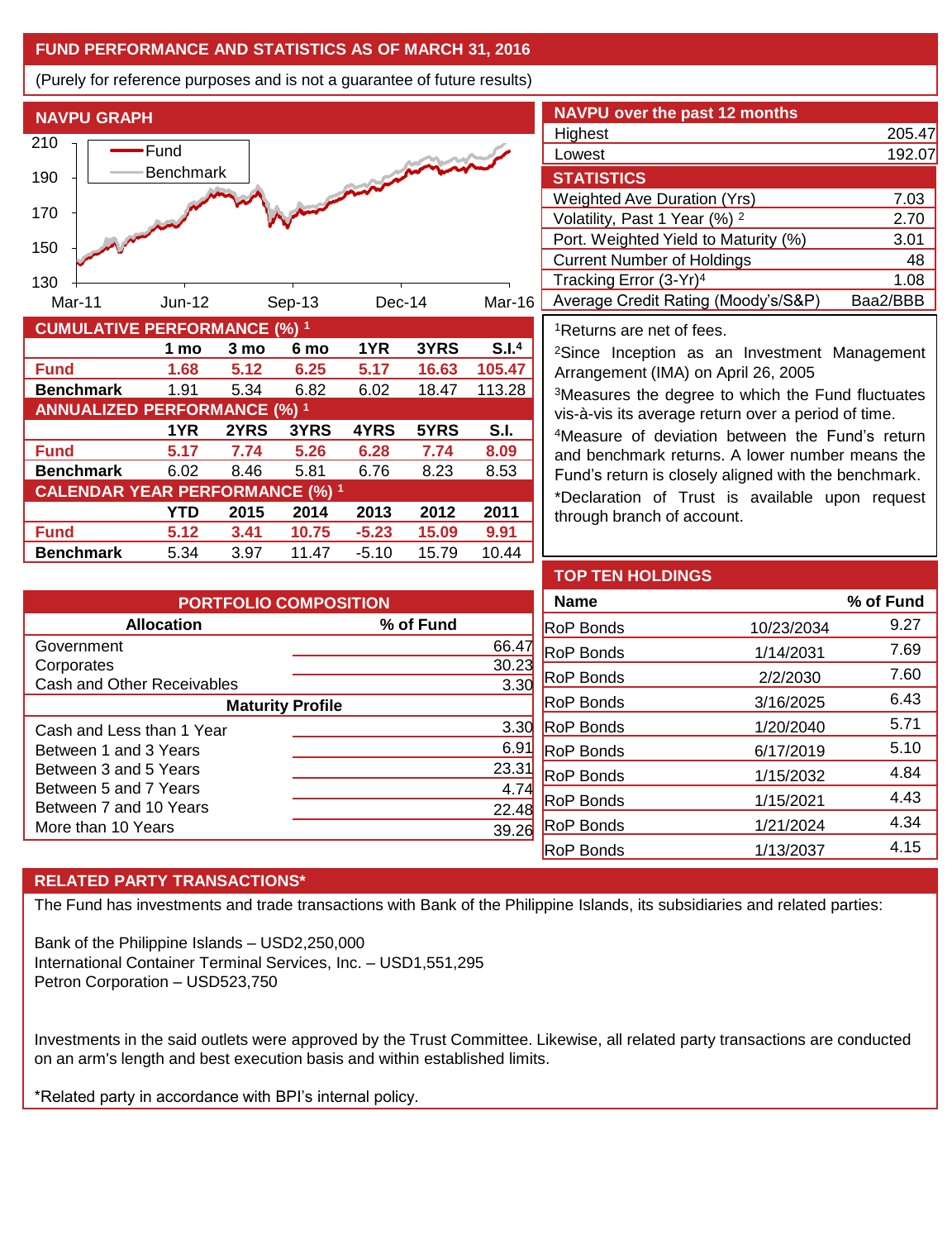### **FUND PERFORMANCE AND STATISTICS AS OF MARCH 31, 2016**

(Purely for reference purposes and is not a guarantee of future results)



**Benchmark** 1.91 5.34 6.82 6.02 18.47 113.28

**Fund 5.17 7.74 5.26 6.28 7.74 8.09 Benchmark** 6.02 8.46 5.81 6.76 8.23 8.53

**Fund 5.12 3.41 10.75 -5.23 15.09 9.91 Benchmark** 5.34 3.97 11.47 -5.10 15.79 10.44

**1YR 2YRS 3YRS 4YRS 5YRS S.I.**

**YTD 2015 2014 2013 2012 2011**

| <b>NAVPU over the past 12 months</b>     |          |  |  |  |  |
|------------------------------------------|----------|--|--|--|--|
| Highest                                  | 205.47   |  |  |  |  |
| Lowest                                   | 192.07   |  |  |  |  |
| <b>STATISTICS</b>                        |          |  |  |  |  |
| <b>Weighted Ave Duration (Yrs)</b>       | 7.03     |  |  |  |  |
| Volatility, Past 1 Year (%) <sup>2</sup> | 2.70     |  |  |  |  |
| Port. Weighted Yield to Maturity (%)     | 3.01     |  |  |  |  |
| <b>Current Number of Holdings</b>        | 48       |  |  |  |  |
| Tracking Error (3-Yr) <sup>4</sup>       | 1.08     |  |  |  |  |
| Average Credit Rating (Moody's/S&P)      | Baa2/BBB |  |  |  |  |

<sup>1</sup>Returns are net of fees.

<sup>2</sup>Since Inception as an Investment Management Arrangement (IMA) on April 26, 2005

<sup>3</sup>Measures the degree to which the Fund fluctuates vis-à-vis its average return over a period of time.

<sup>4</sup>Measure of deviation between the Fund's return and benchmark returns. A lower number means the Fund's return is closely aligned with the benchmark.

\*Declaration of Trust is available upon request through branch of account.

| <b>PORTFOLIO COMPOSITION</b> |                  |  |  |  |  |
|------------------------------|------------------|--|--|--|--|
| <b>Allocation</b>            | % of Fund        |  |  |  |  |
| Government                   | 66.47            |  |  |  |  |
| Corporates                   | 30.23            |  |  |  |  |
| Cash and Other Receivables   | 3.3 <sub>0</sub> |  |  |  |  |
| <b>Maturity Profile</b>      |                  |  |  |  |  |
| Cash and Less than 1 Year    | 3.3 <sup>0</sup> |  |  |  |  |
| Between 1 and 3 Years        | 6.9              |  |  |  |  |
| Between 3 and 5 Years        | 23.3             |  |  |  |  |
| Between 5 and 7 Years        | 4.7              |  |  |  |  |
| Between 7 and 10 Years       | 22.4             |  |  |  |  |
| More than 10 Years           |                  |  |  |  |  |

| <b>TOP TEN HOLDINGS</b> |            |           |
|-------------------------|------------|-----------|
| <b>Name</b>             |            | % of Fund |
| <b>RoP Bonds</b>        | 10/23/2034 | 9.27      |
| <b>RoP Bonds</b>        | 1/14/2031  | 7.69      |
| <b>RoP Bonds</b>        | 2/2/2030   | 7.60      |
| <b>RoP Bonds</b>        | 3/16/2025  | 6.43      |
| <b>RoP Bonds</b>        | 1/20/2040  | 5.71      |
| <b>RoP Bonds</b>        | 6/17/2019  | 5.10      |
| <b>RoP Bonds</b>        | 1/15/2032  | 4.84      |
| <b>RoP Bonds</b>        | 1/15/2021  | 4.43      |
| <b>RoP Bonds</b>        | 1/21/2024  | 4.34      |
| <b>RoP Bonds</b>        | 1/13/2037  | 4.15      |

# **RELATED PARTY TRANSACTIONS\***

**ANNUALIZED PERFORMANCE (%) <sup>1</sup>**

**CALENDAR YEAR PERFORMANCE (%) <sup>1</sup>**

The Fund has investments and trade transactions with Bank of the Philippine Islands, its subsidiaries and related parties:

Bank of the Philippine Islands – USD2,250,000 International Container Terminal Services, Inc. – USD1,551,295 Petron Corporation – USD523,750

Investments in the said outlets were approved by the Trust Committee. Likewise, all related party transactions are conducted on an arm's length and best execution basis and within established limits.

\*Related party in accordance with BPI's internal policy.